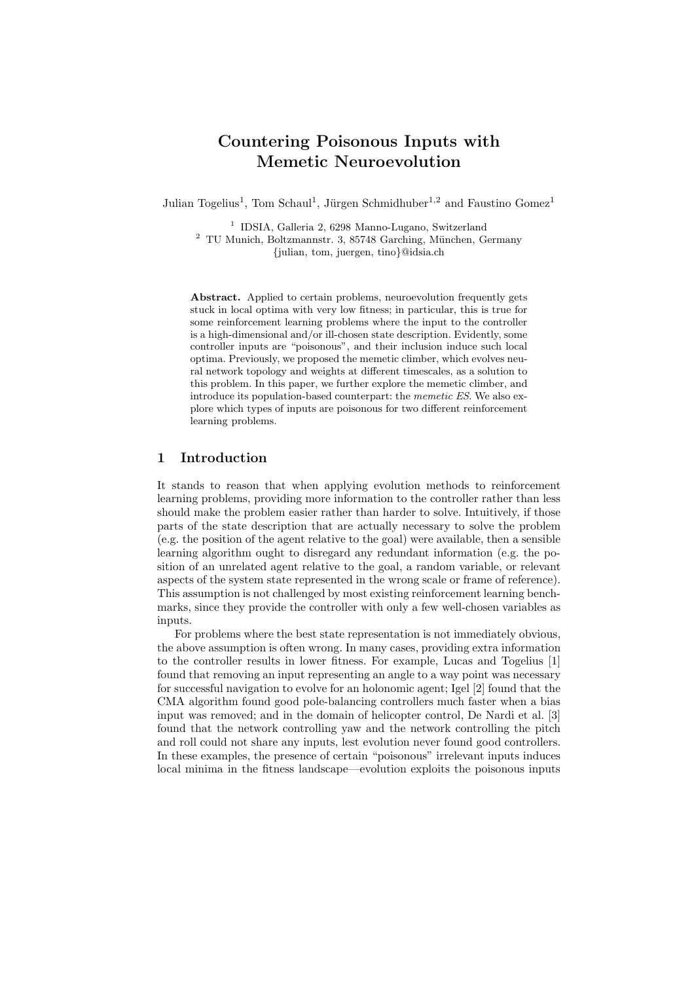# Countering Poisonous Inputs with Memetic Neuroevolution

Julian Togelius<sup>1</sup>, Tom Schaul<sup>1</sup>, Jürgen Schmidhuber<sup>1,2</sup> and Faustino Gomez<sup>1</sup>

1 IDSIA, Galleria 2, 6298 Manno-Lugano, Switzerland  $2$  TU Munich, Boltzmannstr. 3, 85748 Garching, München, Germany {julian, tom, juergen, tino}@idsia.ch

Abstract. Applied to certain problems, neuroevolution frequently gets stuck in local optima with very low fitness; in particular, this is true for some reinforcement learning problems where the input to the controller is a high-dimensional and/or ill-chosen state description. Evidently, some controller inputs are "poisonous", and their inclusion induce such local optima. Previously, we proposed the memetic climber, which evolves neural network topology and weights at different timescales, as a solution to this problem. In this paper, we further explore the memetic climber, and introduce its population-based counterpart: the memetic ES. We also explore which types of inputs are poisonous for two different reinforcement learning problems.

# 1 Introduction

It stands to reason that when applying evolution methods to reinforcement learning problems, providing more information to the controller rather than less should make the problem easier rather than harder to solve. Intuitively, if those parts of the state description that are actually necessary to solve the problem (e.g. the position of the agent relative to the goal) were available, then a sensible learning algorithm ought to disregard any redundant information (e.g. the position of an unrelated agent relative to the goal, a random variable, or relevant aspects of the system state represented in the wrong scale or frame of reference). This assumption is not challenged by most existing reinforcement learning benchmarks, since they provide the controller with only a few well-chosen variables as inputs.

For problems where the best state representation is not immediately obvious, the above assumption is often wrong. In many cases, providing extra information to the controller results in lower fitness. For example, Lucas and Togelius [1] found that removing an input representing an angle to a way point was necessary for successful navigation to evolve for an holonomic agent; Igel [2] found that the CMA algorithm found good pole-balancing controllers much faster when a bias input was removed; and in the domain of helicopter control, De Nardi et al. [3] found that the network controlling yaw and the network controlling the pitch and roll could not share any inputs, lest evolution never found good controllers. In these examples, the presence of certain "poisonous" irrelevant inputs induces local minima in the fitness landscape—evolution exploits the poisonous inputs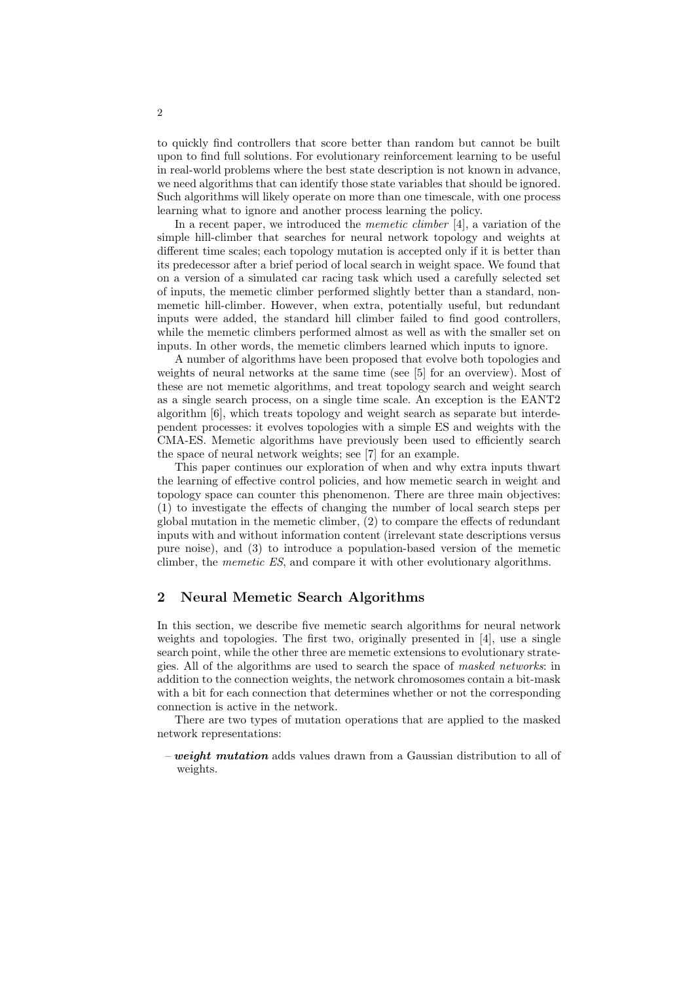to quickly find controllers that score better than random but cannot be built upon to find full solutions. For evolutionary reinforcement learning to be useful in real-world problems where the best state description is not known in advance, we need algorithms that can identify those state variables that should be ignored. Such algorithms will likely operate on more than one timescale, with one process learning what to ignore and another process learning the policy.

In a recent paper, we introduced the *memetic climber* [4], a variation of the simple hill-climber that searches for neural network topology and weights at different time scales; each topology mutation is accepted only if it is better than its predecessor after a brief period of local search in weight space. We found that on a version of a simulated car racing task which used a carefully selected set of inputs, the memetic climber performed slightly better than a standard, nonmemetic hill-climber. However, when extra, potentially useful, but redundant inputs were added, the standard hill climber failed to find good controllers, while the memetic climbers performed almost as well as with the smaller set on inputs. In other words, the memetic climbers learned which inputs to ignore.

A number of algorithms have been proposed that evolve both topologies and weights of neural networks at the same time (see [5] for an overview). Most of these are not memetic algorithms, and treat topology search and weight search as a single search process, on a single time scale. An exception is the EANT2 algorithm [6], which treats topology and weight search as separate but interdependent processes: it evolves topologies with a simple ES and weights with the CMA-ES. Memetic algorithms have previously been used to efficiently search the space of neural network weights; see [7] for an example.

This paper continues our exploration of when and why extra inputs thwart the learning of effective control policies, and how memetic search in weight and topology space can counter this phenomenon. There are three main objectives: (1) to investigate the effects of changing the number of local search steps per global mutation in the memetic climber, (2) to compare the effects of redundant inputs with and without information content (irrelevant state descriptions versus pure noise), and (3) to introduce a population-based version of the memetic climber, the memetic ES, and compare it with other evolutionary algorithms.

# 2 Neural Memetic Search Algorithms

In this section, we describe five memetic search algorithms for neural network weights and topologies. The first two, originally presented in [4], use a single search point, while the other three are memetic extensions to evolutionary strategies. All of the algorithms are used to search the space of masked networks: in addition to the connection weights, the network chromosomes contain a bit-mask with a bit for each connection that determines whether or not the corresponding connection is active in the network.

There are two types of mutation operations that are applied to the masked network representations:

– weight mutation adds values drawn from a Gaussian distribution to all of weights.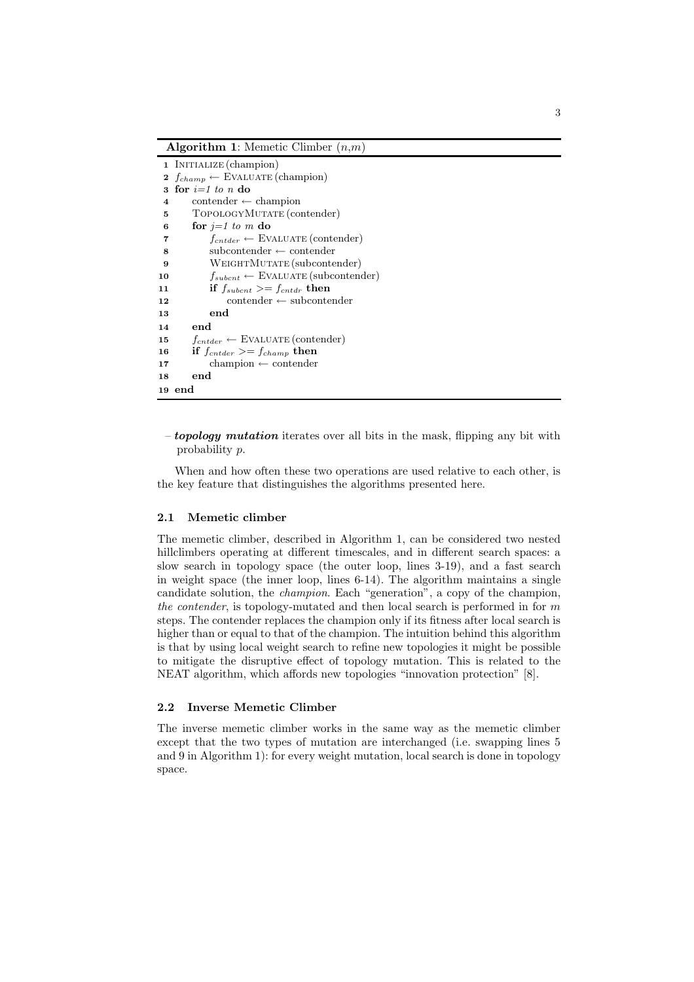Algorithm 1: Memetic Climber  $(n,m)$ 

|                         | 1 INITIALIZE (champion)                           |
|-------------------------|---------------------------------------------------|
|                         | 2 $f_{champ} \leftarrow$ EVALUATE (champion)      |
| 3                       | for $i=1$ to n do                                 |
| $\overline{\mathbf{4}}$ | $\text{contenter} \leftarrow \text{champion}$     |
| 5                       | TOPOLOGYMUTATE (contender)                        |
| 6                       | for $i=1$ to m do                                 |
| 7                       | $f_{entder} \leftarrow$ EVALUATE (contender)      |
| 8                       | $subcontenter \leftarrow contenter$               |
| 9                       | WEIGHTMUTATE (subcontender)                       |
| 10                      | $f_{subcnt} \leftarrow$ EVALUATE (subcontender)   |
| 11                      | if $f_{\text{subcnt}} >= f_{\text{cntdr}}$ then   |
| 12                      | $\text{contenter} \leftarrow \text{subcontenter}$ |
| 13                      | end                                               |
| 14                      | end                                               |
| 15                      | $f_{cntder} \leftarrow$ EVALUATE (contender)      |
| 16                      | if $f_{cntder} >= f_{champ}$ then                 |
| 17                      | $champion \leftarrow contenter$                   |
| 18                      | end                                               |
|                         | 19 end                                            |

– topology mutation iterates over all bits in the mask, flipping any bit with probability p.

When and how often these two operations are used relative to each other, is the key feature that distinguishes the algorithms presented here.

## 2.1 Memetic climber

The memetic climber, described in Algorithm 1, can be considered two nested hillclimbers operating at different timescales, and in different search spaces: a slow search in topology space (the outer loop, lines 3-19), and a fast search in weight space (the inner loop, lines 6-14). The algorithm maintains a single candidate solution, the champion. Each "generation", a copy of the champion, the contender, is topology-mutated and then local search is performed in for  $m$ steps. The contender replaces the champion only if its fitness after local search is higher than or equal to that of the champion. The intuition behind this algorithm is that by using local weight search to refine new topologies it might be possible to mitigate the disruptive effect of topology mutation. This is related to the NEAT algorithm, which affords new topologies "innovation protection" [8].

## 2.2 Inverse Memetic Climber

The inverse memetic climber works in the same way as the memetic climber except that the two types of mutation are interchanged (i.e. swapping lines 5 and 9 in Algorithm 1): for every weight mutation, local search is done in topology space.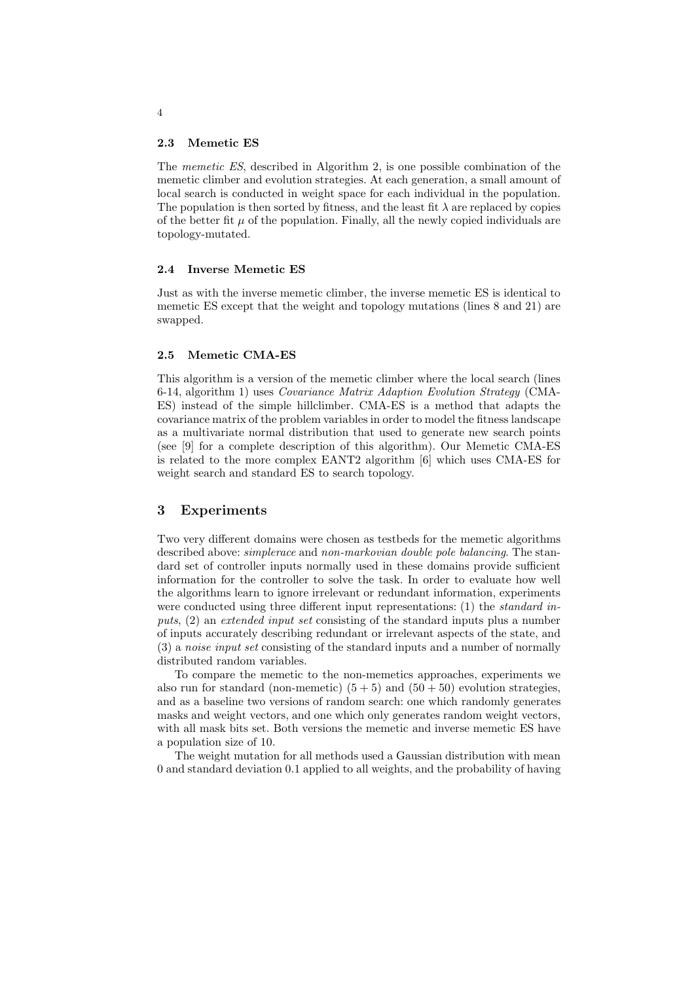#### 2.3 Memetic ES

The memetic ES, described in Algorithm 2, is one possible combination of the memetic climber and evolution strategies. At each generation, a small amount of local search is conducted in weight space for each individual in the population. The population is then sorted by fitness, and the least fit  $\lambda$  are replaced by copies of the better fit  $\mu$  of the population. Finally, all the newly copied individuals are topology-mutated.

#### 2.4 Inverse Memetic ES

Just as with the inverse memetic climber, the inverse memetic ES is identical to memetic ES except that the weight and topology mutations (lines 8 and 21) are swapped.

#### 2.5 Memetic CMA-ES

This algorithm is a version of the memetic climber where the local search (lines 6-14, algorithm 1) uses Covariance Matrix Adaption Evolution Strategy (CMA-ES) instead of the simple hillclimber. CMA-ES is a method that adapts the covariance matrix of the problem variables in order to model the fitness landscape as a multivariate normal distribution that used to generate new search points (see [9] for a complete description of this algorithm). Our Memetic CMA-ES is related to the more complex EANT2 algorithm [6] which uses CMA-ES for weight search and standard ES to search topology.

# 3 Experiments

Two very different domains were chosen as testbeds for the memetic algorithms described above: simplerace and non-markovian double pole balancing. The standard set of controller inputs normally used in these domains provide sufficient information for the controller to solve the task. In order to evaluate how well the algorithms learn to ignore irrelevant or redundant information, experiments were conducted using three different input representations: (1) the *standard in*puts, (2) an extended input set consisting of the standard inputs plus a number of inputs accurately describing redundant or irrelevant aspects of the state, and (3) a noise input set consisting of the standard inputs and a number of normally distributed random variables.

To compare the memetic to the non-memetics approaches, experiments we also run for standard (non-memetic)  $(5+5)$  and  $(50+50)$  evolution strategies, and as a baseline two versions of random search: one which randomly generates masks and weight vectors, and one which only generates random weight vectors, with all mask bits set. Both versions the memetic and inverse memetic ES have a population size of 10.

The weight mutation for all methods used a Gaussian distribution with mean 0 and standard deviation 0.1 applied to all weights, and the probability of having

4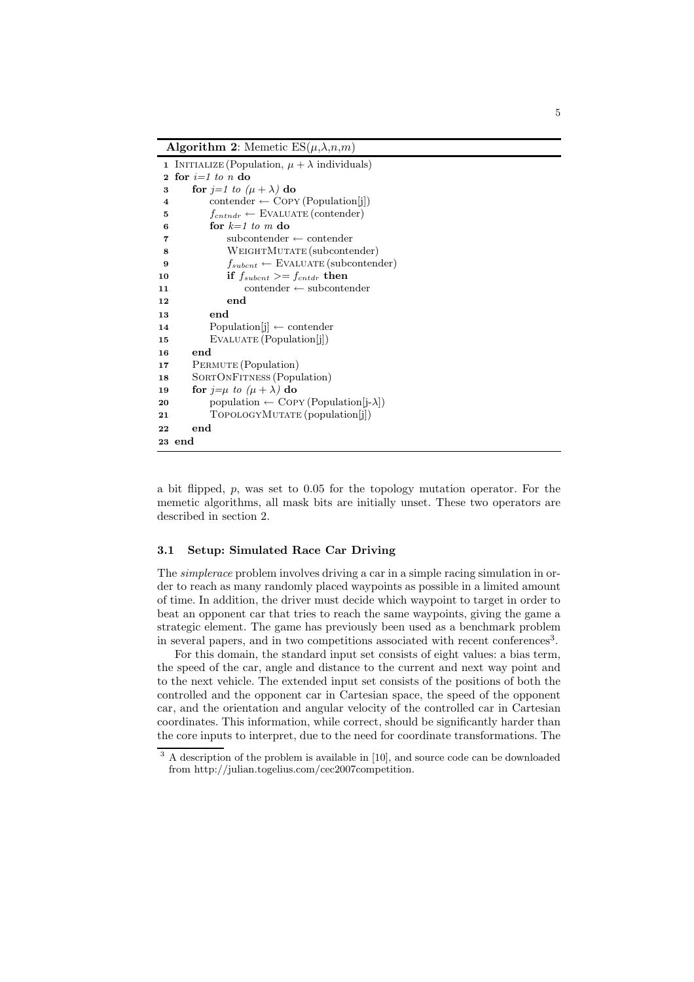Algorithm 2: Memetic  $ES(\mu, \lambda, n, m)$ 

|                         | 1 INITIALIZE (Population, $\mu + \lambda$ individuals)    |  |  |  |  |
|-------------------------|-----------------------------------------------------------|--|--|--|--|
| $\mathbf{2}$            | for $i=1$ to n do                                         |  |  |  |  |
| 3                       | for $j=1$ to $(\mu + \lambda)$ do                         |  |  |  |  |
| $\overline{\mathbf{4}}$ | $\text{contenter} \leftarrow \text{Copy (Population[i])}$ |  |  |  |  |
| 5                       | $f_{cntndr} \leftarrow$ EVALUATE (contender)              |  |  |  |  |
| 6                       | for $k=1$ to m do                                         |  |  |  |  |
| 7                       | $subcontenter \leftarrow contenter$                       |  |  |  |  |
| 8                       | WEIGHTMUTATE (subcontender)                               |  |  |  |  |
| 9                       | $f_{subcnt} \leftarrow$ EVALUATE (subcontender)           |  |  |  |  |
| 10                      | if $f_{\text{subcnt}} >= f_{\text{cntdr}}$ then           |  |  |  |  |
| 11                      | $\text{contenter} \leftarrow \text{subcontenter}$         |  |  |  |  |
| 12                      | end                                                       |  |  |  |  |
| 13                      | end                                                       |  |  |  |  |
| 14                      | Population $[j] \leftarrow$ contender                     |  |  |  |  |
| 15                      | EVALUATE (Population[i])                                  |  |  |  |  |
| 16                      | end                                                       |  |  |  |  |
| 17                      | PERMUTE (Population)                                      |  |  |  |  |
| 18                      | SORTONFITNESS (Population)                                |  |  |  |  |
| 19                      | for $j=\mu$ to $(\mu + \lambda)$ do                       |  |  |  |  |
| 20                      | population $\leftarrow$ COPY (Population[j- $\lambda$ ])  |  |  |  |  |
| 21                      | TOPOLOGYMUTATE (population[j])                            |  |  |  |  |
| 22                      | end                                                       |  |  |  |  |
|                         | 23 end                                                    |  |  |  |  |

a bit flipped,  $p$ , was set to 0.05 for the topology mutation operator. For the memetic algorithms, all mask bits are initially unset. These two operators are described in section 2.

#### 3.1 Setup: Simulated Race Car Driving

The simplerace problem involves driving a car in a simple racing simulation in order to reach as many randomly placed waypoints as possible in a limited amount of time. In addition, the driver must decide which waypoint to target in order to beat an opponent car that tries to reach the same waypoints, giving the game a strategic element. The game has previously been used as a benchmark problem in several papers, and in two competitions associated with recent conferences<sup>3</sup> .

For this domain, the standard input set consists of eight values: a bias term, the speed of the car, angle and distance to the current and next way point and to the next vehicle. The extended input set consists of the positions of both the controlled and the opponent car in Cartesian space, the speed of the opponent car, and the orientation and angular velocity of the controlled car in Cartesian coordinates. This information, while correct, should be significantly harder than the core inputs to interpret, due to the need for coordinate transformations. The

<sup>&</sup>lt;sup>3</sup> A description of the problem is available in [10], and source code can be downloaded from http://julian.togelius.com/cec2007competition.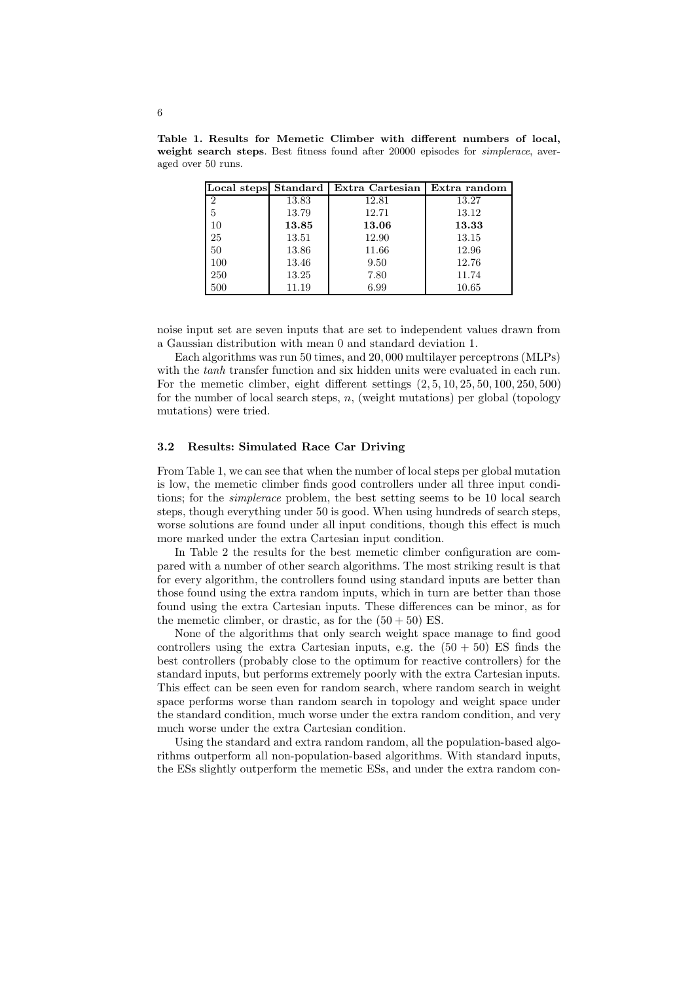|                |       | Local steps Standard   Extra Cartesian   Extra random |       |
|----------------|-------|-------------------------------------------------------|-------|
| $\overline{2}$ | 13.83 | 12.81                                                 | 13.27 |
| 5              | 13.79 | 12.71                                                 | 13.12 |
| 10             | 13.85 | 13.06                                                 | 13.33 |
| 25             | 13.51 | 12.90                                                 | 13.15 |
| 50             | 13.86 | 11.66                                                 | 12.96 |
| 100            | 13.46 | 9.50                                                  | 12.76 |
| 250            | 13.25 | 7.80                                                  | 11.74 |
| 500            | 11.19 | 6.99                                                  | 10.65 |

Table 1. Results for Memetic Climber with different numbers of local, weight search steps. Best fitness found after 20000 episodes for *simplerace*, averaged over 50 runs.

noise input set are seven inputs that are set to independent values drawn from a Gaussian distribution with mean 0 and standard deviation 1.

Each algorithms was run 50 times, and 20, 000 multilayer perceptrons (MLPs) with the tanh transfer function and six hidden units were evaluated in each run. For the memetic climber, eight different settings (2, 5, 10, 25, 50, 100, 250, 500) for the number of local search steps,  $n$ , (weight mutations) per global (topology mutations) were tried.

#### 3.2 Results: Simulated Race Car Driving

From Table 1, we can see that when the number of local steps per global mutation is low, the memetic climber finds good controllers under all three input conditions; for the simplerace problem, the best setting seems to be 10 local search steps, though everything under 50 is good. When using hundreds of search steps, worse solutions are found under all input conditions, though this effect is much more marked under the extra Cartesian input condition.

In Table 2 the results for the best memetic climber configuration are compared with a number of other search algorithms. The most striking result is that for every algorithm, the controllers found using standard inputs are better than those found using the extra random inputs, which in turn are better than those found using the extra Cartesian inputs. These differences can be minor, as for the memetic climber, or drastic, as for the  $(50 + 50)$  ES.

None of the algorithms that only search weight space manage to find good controllers using the extra Cartesian inputs, e.g. the  $(50 + 50)$  ES finds the best controllers (probably close to the optimum for reactive controllers) for the standard inputs, but performs extremely poorly with the extra Cartesian inputs. This effect can be seen even for random search, where random search in weight space performs worse than random search in topology and weight space under the standard condition, much worse under the extra random condition, and very much worse under the extra Cartesian condition.

Using the standard and extra random random, all the population-based algorithms outperform all non-population-based algorithms. With standard inputs, the ESs slightly outperform the memetic ESs, and under the extra random con-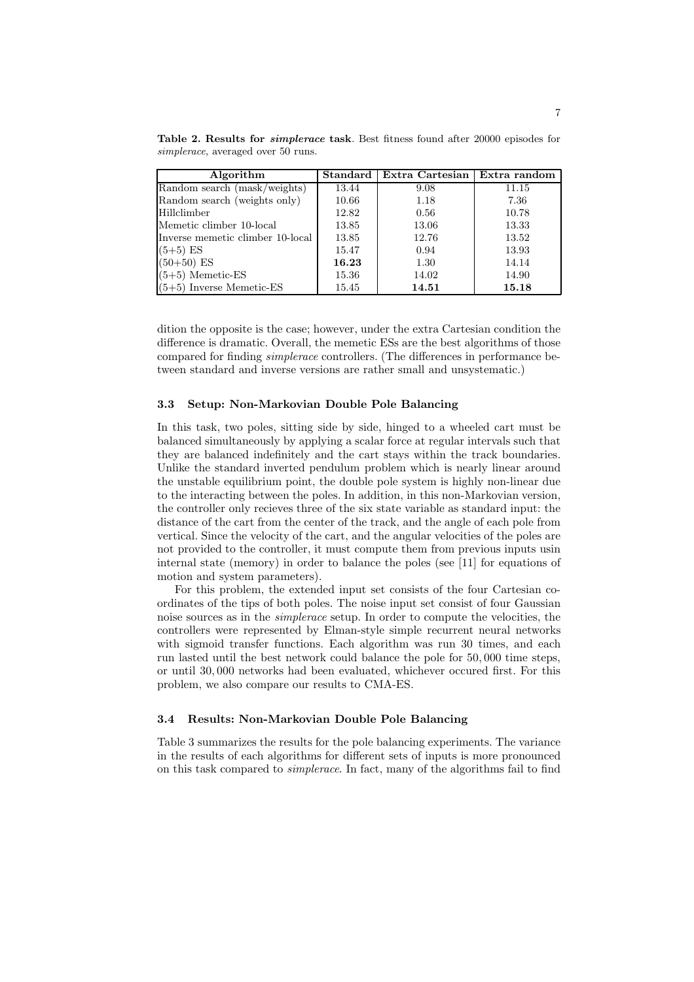Table 2. Results for *simplerace* task. Best fitness found after 20000 episodes for simplerace, averaged over 50 runs.

| Algorithm                        | <b>Standard</b> | Extra Cartesian | Extra random |
|----------------------------------|-----------------|-----------------|--------------|
| Random search (mask/weights)     | 13.44           | 9.08            | 11.15        |
| Random search (weights only)     | 10.66           | 1.18            | 7.36         |
| Hillclimber                      | 12.82           | 0.56            | 10.78        |
| Memetic climber 10-local         | 13.85           | 13.06           | 13.33        |
| Inverse memetic climber 10-local | 13.85           | 12.76           | 13.52        |
| $(5+5)$ ES                       | 15.47           | 0.94            | 13.93        |
| $(50+50)$ ES                     | 16.23           | 1.30            | 14.14        |
| $(5+5)$ Memetic-ES               | 15.36           | 14.02           | 14.90        |
| $(5+5)$ Inverse Memetic-ES       | 15.45           | 14.51           | 15.18        |

dition the opposite is the case; however, under the extra Cartesian condition the difference is dramatic. Overall, the memetic ESs are the best algorithms of those compared for finding simplerace controllers. (The differences in performance between standard and inverse versions are rather small and unsystematic.)

#### 3.3 Setup: Non-Markovian Double Pole Balancing

In this task, two poles, sitting side by side, hinged to a wheeled cart must be balanced simultaneously by applying a scalar force at regular intervals such that they are balanced indefinitely and the cart stays within the track boundaries. Unlike the standard inverted pendulum problem which is nearly linear around the unstable equilibrium point, the double pole system is highly non-linear due to the interacting between the poles. In addition, in this non-Markovian version, the controller only recieves three of the six state variable as standard input: the distance of the cart from the center of the track, and the angle of each pole from vertical. Since the velocity of the cart, and the angular velocities of the poles are not provided to the controller, it must compute them from previous inputs usin internal state (memory) in order to balance the poles (see [11] for equations of motion and system parameters).

For this problem, the extended input set consists of the four Cartesian coordinates of the tips of both poles. The noise input set consist of four Gaussian noise sources as in the simplerace setup. In order to compute the velocities, the controllers were represented by Elman-style simple recurrent neural networks with sigmoid transfer functions. Each algorithm was run 30 times, and each run lasted until the best network could balance the pole for 50, 000 time steps, or until 30, 000 networks had been evaluated, whichever occured first. For this problem, we also compare our results to CMA-ES.

### 3.4 Results: Non-Markovian Double Pole Balancing

Table 3 summarizes the results for the pole balancing experiments. The variance in the results of each algorithms for different sets of inputs is more pronounced on this task compared to simplerace. In fact, many of the algorithms fail to find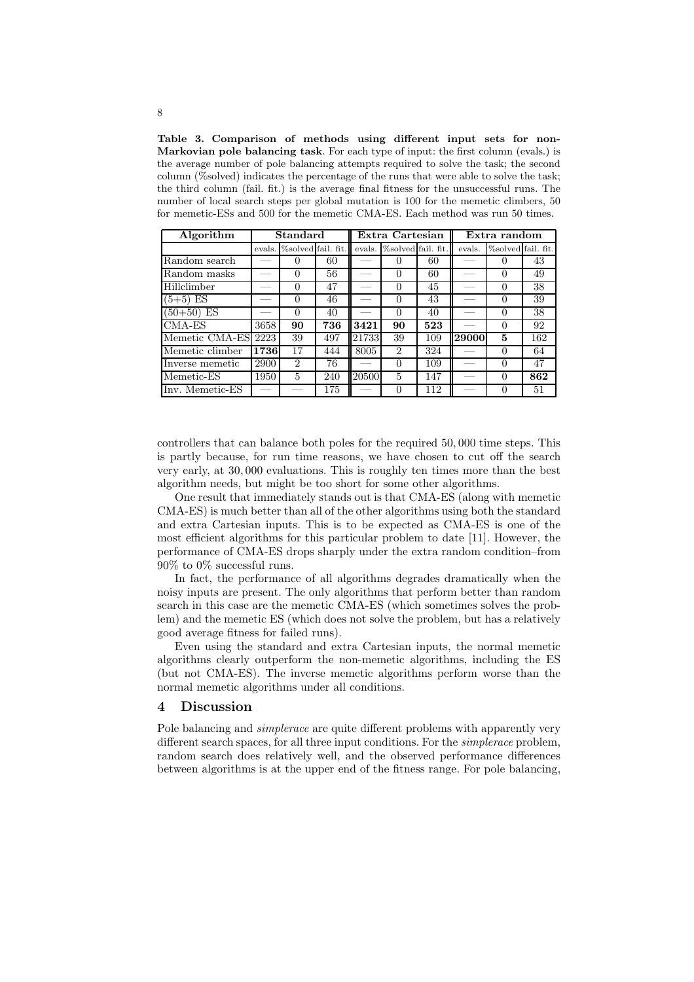Table 3. Comparison of methods using different input sets for non-Markovian pole balancing task. For each type of input: the first column (evals.) is the average number of pole balancing attempts required to solve the task; the second column (%solved) indicates the percentage of the runs that were able to solve the task; the third column (fail. fit.) is the average final fitness for the unsuccessful runs. The number of local search steps per global mutation is 100 for the memetic climbers, 50 for memetic-ESs and 500 for the memetic CMA-ES. Each method was run 50 times.

| Algorithm<br>Standard |        | Extra Cartesian             |     |        | Extra random       |     |        |                    |     |
|-----------------------|--------|-----------------------------|-----|--------|--------------------|-----|--------|--------------------|-----|
|                       | evals. | %solved fail. fit.          |     | evals. | %solved fail. fit. |     | evals. | %solved fail. fit. |     |
| Random search         |        | $\theta$                    | 60  |        |                    | 60  |        |                    | 43  |
| Random masks          |        | $\Omega$                    | 56  |        | $\theta$           | 60  |        |                    | 49  |
| Hillclimber           |        | 0                           | 47  |        | $\theta$           | 45  |        |                    | 38  |
| $(5+5)$ ES            |        | 0                           | 46  |        | $\theta$           | 43  |        |                    | 39  |
| $(50+50)$ ES          |        | 0                           | 40  |        |                    | 40  |        |                    | 38  |
| $CMA-ES$              | 3658   | 90                          | 736 | 3421   | 90                 | 523 |        | $\mathbf{0}$       | 92  |
| Memetic CMA-ES 2223   |        | 39                          | 497 | 21733  | 39                 | 109 | 29000  | 5                  | 162 |
| Memetic climber       | 1736   | 17                          | 444 | 8005   | $\overline{2}$     | 324 |        | 0                  | 64  |
| Inverse memetic       | 2900   | $\mathcal{D}_{\mathcal{L}}$ | 76  |        | 0                  | 109 |        | 0                  | 47  |
| Memetic-ES            | 1950   | 5                           | 240 | 20500  | 5                  | 147 |        |                    | 862 |
| Inv. Memetic-ES       |        |                             | 175 |        |                    | 112 |        |                    | 51  |

controllers that can balance both poles for the required 50, 000 time steps. This is partly because, for run time reasons, we have chosen to cut off the search very early, at 30, 000 evaluations. This is roughly ten times more than the best algorithm needs, but might be too short for some other algorithms.

One result that immediately stands out is that CMA-ES (along with memetic CMA-ES) is much better than all of the other algorithms using both the standard and extra Cartesian inputs. This is to be expected as CMA-ES is one of the most efficient algorithms for this particular problem to date [11]. However, the performance of CMA-ES drops sharply under the extra random condition–from 90% to 0% successful runs.

In fact, the performance of all algorithms degrades dramatically when the noisy inputs are present. The only algorithms that perform better than random search in this case are the memetic CMA-ES (which sometimes solves the problem) and the memetic ES (which does not solve the problem, but has a relatively good average fitness for failed runs).

Even using the standard and extra Cartesian inputs, the normal memetic algorithms clearly outperform the non-memetic algorithms, including the ES (but not CMA-ES). The inverse memetic algorithms perform worse than the normal memetic algorithms under all conditions.

## 4 Discussion

Pole balancing and *simplerace* are quite different problems with apparently very different search spaces, for all three input conditions. For the simplerace problem, random search does relatively well, and the observed performance differences between algorithms is at the upper end of the fitness range. For pole balancing,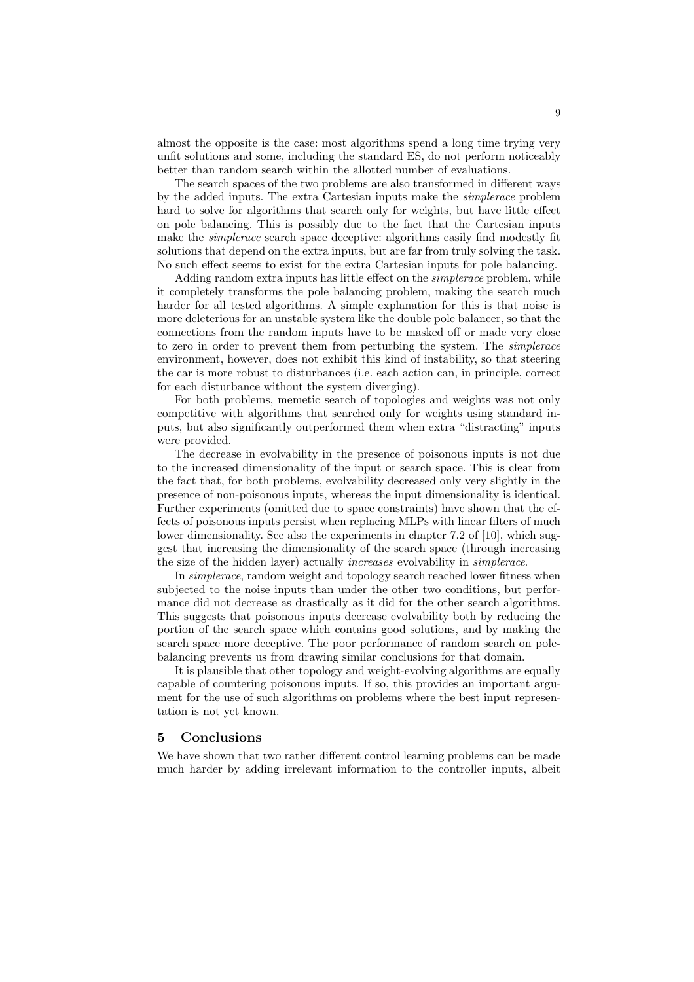almost the opposite is the case: most algorithms spend a long time trying very unfit solutions and some, including the standard ES, do not perform noticeably better than random search within the allotted number of evaluations.

The search spaces of the two problems are also transformed in different ways by the added inputs. The extra Cartesian inputs make the simplerace problem hard to solve for algorithms that search only for weights, but have little effect on pole balancing. This is possibly due to the fact that the Cartesian inputs make the *simplerace* search space deceptive: algorithms easily find modestly fit solutions that depend on the extra inputs, but are far from truly solving the task. No such effect seems to exist for the extra Cartesian inputs for pole balancing.

Adding random extra inputs has little effect on the *simplerace* problem, while it completely transforms the pole balancing problem, making the search much harder for all tested algorithms. A simple explanation for this is that noise is more deleterious for an unstable system like the double pole balancer, so that the connections from the random inputs have to be masked off or made very close to zero in order to prevent them from perturbing the system. The simplerace environment, however, does not exhibit this kind of instability, so that steering the car is more robust to disturbances (i.e. each action can, in principle, correct for each disturbance without the system diverging).

For both problems, memetic search of topologies and weights was not only competitive with algorithms that searched only for weights using standard inputs, but also significantly outperformed them when extra "distracting" inputs were provided.

The decrease in evolvability in the presence of poisonous inputs is not due to the increased dimensionality of the input or search space. This is clear from the fact that, for both problems, evolvability decreased only very slightly in the presence of non-poisonous inputs, whereas the input dimensionality is identical. Further experiments (omitted due to space constraints) have shown that the effects of poisonous inputs persist when replacing MLPs with linear filters of much lower dimensionality. See also the experiments in chapter 7.2 of [10], which suggest that increasing the dimensionality of the search space (through increasing the size of the hidden layer) actually increases evolvability in simplerace.

In simplerace, random weight and topology search reached lower fitness when subjected to the noise inputs than under the other two conditions, but performance did not decrease as drastically as it did for the other search algorithms. This suggests that poisonous inputs decrease evolvability both by reducing the portion of the search space which contains good solutions, and by making the search space more deceptive. The poor performance of random search on polebalancing prevents us from drawing similar conclusions for that domain.

It is plausible that other topology and weight-evolving algorithms are equally capable of countering poisonous inputs. If so, this provides an important argument for the use of such algorithms on problems where the best input representation is not yet known.

#### 5 Conclusions

We have shown that two rather different control learning problems can be made much harder by adding irrelevant information to the controller inputs, albeit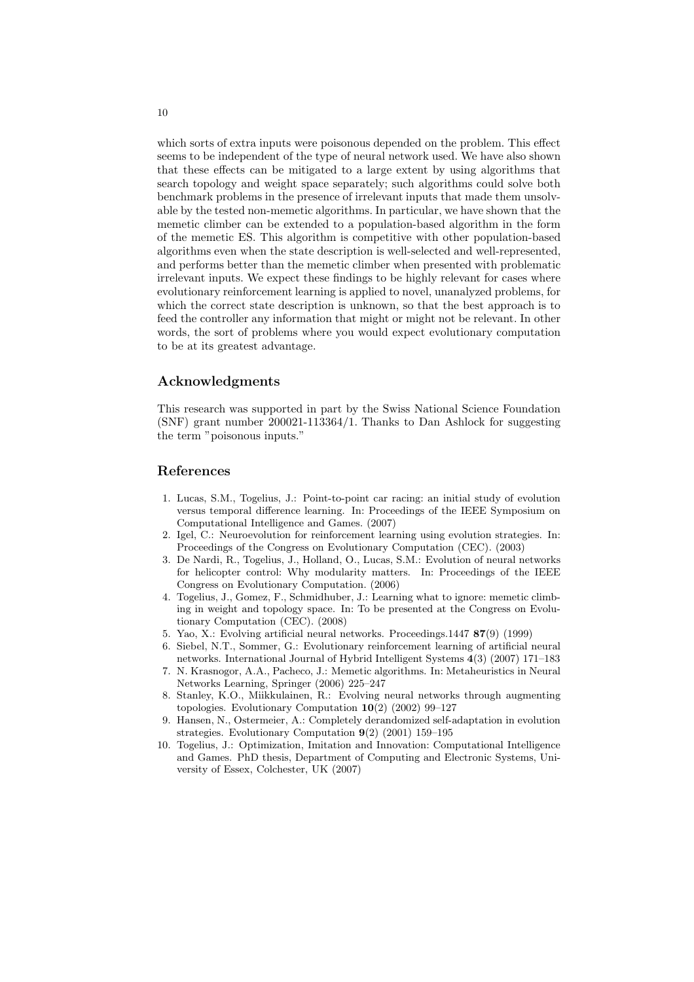which sorts of extra inputs were poisonous depended on the problem. This effect seems to be independent of the type of neural network used. We have also shown that these effects can be mitigated to a large extent by using algorithms that search topology and weight space separately; such algorithms could solve both benchmark problems in the presence of irrelevant inputs that made them unsolvable by the tested non-memetic algorithms. In particular, we have shown that the memetic climber can be extended to a population-based algorithm in the form of the memetic ES. This algorithm is competitive with other population-based algorithms even when the state description is well-selected and well-represented, and performs better than the memetic climber when presented with problematic irrelevant inputs. We expect these findings to be highly relevant for cases where evolutionary reinforcement learning is applied to novel, unanalyzed problems, for which the correct state description is unknown, so that the best approach is to feed the controller any information that might or might not be relevant. In other words, the sort of problems where you would expect evolutionary computation to be at its greatest advantage.

## Acknowledgments

This research was supported in part by the Swiss National Science Foundation (SNF) grant number 200021-113364/1. Thanks to Dan Ashlock for suggesting the term "poisonous inputs."

# References

- 1. Lucas, S.M., Togelius, J.: Point-to-point car racing: an initial study of evolution versus temporal difference learning. In: Proceedings of the IEEE Symposium on Computational Intelligence and Games. (2007)
- 2. Igel, C.: Neuroevolution for reinforcement learning using evolution strategies. In: Proceedings of the Congress on Evolutionary Computation (CEC). (2003)
- 3. De Nardi, R., Togelius, J., Holland, O., Lucas, S.M.: Evolution of neural networks for helicopter control: Why modularity matters. In: Proceedings of the IEEE Congress on Evolutionary Computation. (2006)
- 4. Togelius, J., Gomez, F., Schmidhuber, J.: Learning what to ignore: memetic climbing in weight and topology space. In: To be presented at the Congress on Evolutionary Computation (CEC). (2008)
- 5. Yao, X.: Evolving artificial neural networks. Proceedings.1447 87(9) (1999)
- 6. Siebel, N.T., Sommer, G.: Evolutionary reinforcement learning of artificial neural networks. International Journal of Hybrid Intelligent Systems 4(3) (2007) 171–183
- 7. N. Krasnogor, A.A., Pacheco, J.: Memetic algorithms. In: Metaheuristics in Neural Networks Learning, Springer (2006) 225–247
- 8. Stanley, K.O., Miikkulainen, R.: Evolving neural networks through augmenting topologies. Evolutionary Computation 10(2) (2002) 99–127
- 9. Hansen, N., Ostermeier, A.: Completely derandomized self-adaptation in evolution strategies. Evolutionary Computation 9(2) (2001) 159–195
- 10. Togelius, J.: Optimization, Imitation and Innovation: Computational Intelligence and Games. PhD thesis, Department of Computing and Electronic Systems, University of Essex, Colchester, UK (2007)